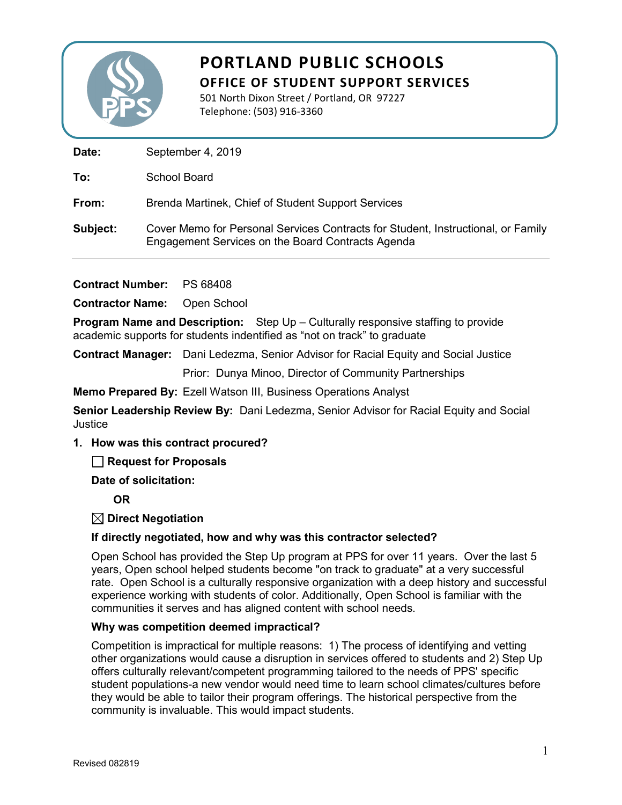

501 North Dixon Street / Portland, OR 97227 Telephone: (503) 916-3360

Date: September 4, 2019

**To:** School Board

**From:** Brenda Martinek, Chief of Student Support Services

**Subject:** Cover Memo for Personal Services Contracts for Student, Instructional, or Family Engagement Services on the Board Contracts Agenda

**Contract Number:** PS 68408

**Contractor Name:** Open School

**Program Name and Description:** Step Up – Culturally responsive staffing to provide academic supports for students indentified as "not on track" to graduate

**Contract Manager:** Dani Ledezma, Senior Advisor for Racial Equity and Social Justice

Prior: Dunya Minoo, Director of Community Partnerships

**Memo Prepared By:** Ezell Watson III, Business Operations Analyst

**Senior Leadership Review By:** Dani Ledezma, Senior Advisor for Racial Equity and Social **Justice** 

### **1. How was this contract procured?**

**Request for Proposals** 

**Date of solicitation:**

**OR**

**Direct Negotiation**

### **If directly negotiated, how and why was this contractor selected?**

Open School has provided the Step Up program at PPS for over 11 years. Over the last 5 years, Open school helped students become "on track to graduate" at a very successful rate. Open School is a culturally responsive organization with a deep history and successful experience working with students of color. Additionally, Open School is familiar with the communities it serves and has aligned content with school needs.

### **Why was competition deemed impractical?**

Competition is impractical for multiple reasons: 1) The process of identifying and vetting other organizations would cause a disruption in services offered to students and 2) Step Up offers culturally relevant/competent programming tailored to the needs of PPS' specific student populations-a new vendor would need time to learn school climates/cultures before they would be able to tailor their program offerings. The historical perspective from the community is invaluable. This would impact students.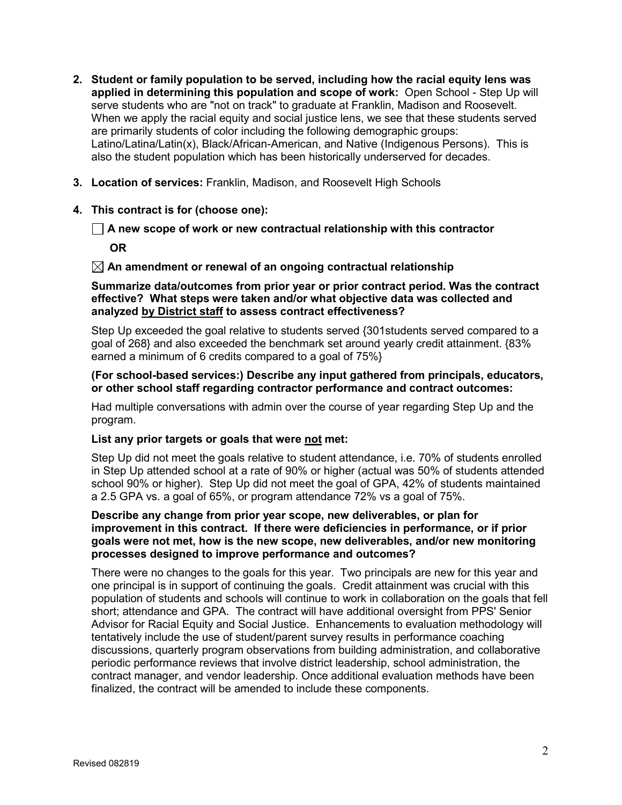- **2. Student or family population to be served, including how the racial equity lens was applied in determining this population and scope of work:** Open School - Step Up will serve students who are "not on track" to graduate at Franklin, Madison and Roosevelt. When we apply the racial equity and social justice lens, we see that these students served are primarily students of color including the following demographic groups: Latino/Latina/Latin(x), Black/African-American, and Native (Indigenous Persons). This is also the student population which has been historically underserved for decades.
- **3. Location of services:** Franklin, Madison, and Roosevelt High Schools
- **4. This contract is for (choose one):**

### **A new scope of work or new contractual relationship with this contractor**

**OR**

### **An amendment or renewal of an ongoing contractual relationship**

### **Summarize data/outcomes from prior year or prior contract period. Was the contract effective? What steps were taken and/or what objective data was collected and analyzed by District staff to assess contract effectiveness?**

Step Up exceeded the goal relative to students served {301students served compared to a goal of 268} and also exceeded the benchmark set around yearly credit attainment. {83% earned a minimum of 6 credits compared to a goal of 75%}

### **(For school-based services:) Describe any input gathered from principals, educators, or other school staff regarding contractor performance and contract outcomes:**

Had multiple conversations with admin over the course of year regarding Step Up and the program.

### **List any prior targets or goals that were not met:**

Step Up did not meet the goals relative to student attendance, i.e. 70% of students enrolled in Step Up attended school at a rate of 90% or higher (actual was 50% of students attended school 90% or higher). Step Up did not meet the goal of GPA, 42% of students maintained a 2.5 GPA vs. a goal of 65%, or program attendance 72% vs a goal of 75%.

### **Describe any change from prior year scope, new deliverables, or plan for improvement in this contract. If there were deficiencies in performance, or if prior goals were not met, how is the new scope, new deliverables, and/or new monitoring processes designed to improve performance and outcomes?**

There were no changes to the goals for this year. Two principals are new for this year and one principal is in support of continuing the goals. Credit attainment was crucial with this population of students and schools will continue to work in collaboration on the goals that fell short; attendance and GPA. The contract will have additional oversight from PPS' Senior Advisor for Racial Equity and Social Justice. Enhancements to evaluation methodology will tentatively include the use of student/parent survey results in performance coaching discussions, quarterly program observations from building administration, and collaborative periodic performance reviews that involve district leadership, school administration, the contract manager, and vendor leadership. Once additional evaluation methods have been finalized, the contract will be amended to include these components.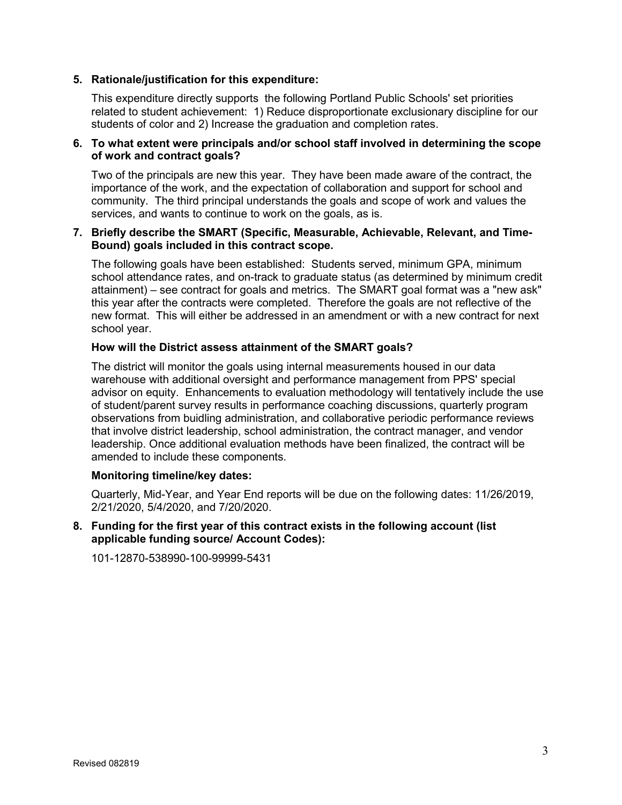### **5. Rationale/justification for this expenditure:**

This expenditure directly supports the following Portland Public Schools' set priorities related to student achievement: 1) Reduce disproportionate exclusionary discipline for our students of color and 2) Increase the graduation and completion rates.

### **6. To what extent were principals and/or school staff involved in determining the scope of work and contract goals?**

Two of the principals are new this year. They have been made aware of the contract, the importance of the work, and the expectation of collaboration and support for school and community. The third principal understands the goals and scope of work and values the services, and wants to continue to work on the goals, as is.

### **7. Briefly describe the SMART (Specific, Measurable, Achievable, Relevant, and Time-Bound) goals included in this contract scope.**

The following goals have been established: Students served, minimum GPA, minimum school attendance rates, and on-track to graduate status (as determined by minimum credit attainment) – see contract for goals and metrics. The SMART goal format was a "new ask" this year after the contracts were completed. Therefore the goals are not reflective of the new format. This will either be addressed in an amendment or with a new contract for next school year.

### **How will the District assess attainment of the SMART goals?**

The district will monitor the goals using internal measurements housed in our data warehouse with additional oversight and performance management from PPS' special advisor on equity. Enhancements to evaluation methodology will tentatively include the use of student/parent survey results in performance coaching discussions, quarterly program observations from buidling administration, and collaborative periodic performance reviews that involve district leadership, school administration, the contract manager, and vendor leadership. Once additional evaluation methods have been finalized, the contract will be amended to include these components.

### **Monitoring timeline/key dates:**

Quarterly, Mid-Year, and Year End reports will be due on the following dates: 11/26/2019, 2/21/2020, 5/4/2020, and 7/20/2020.

**8. Funding for the first year of this contract exists in the following account (list applicable funding source/ Account Codes):** 

101-12870-538990-100-99999-5431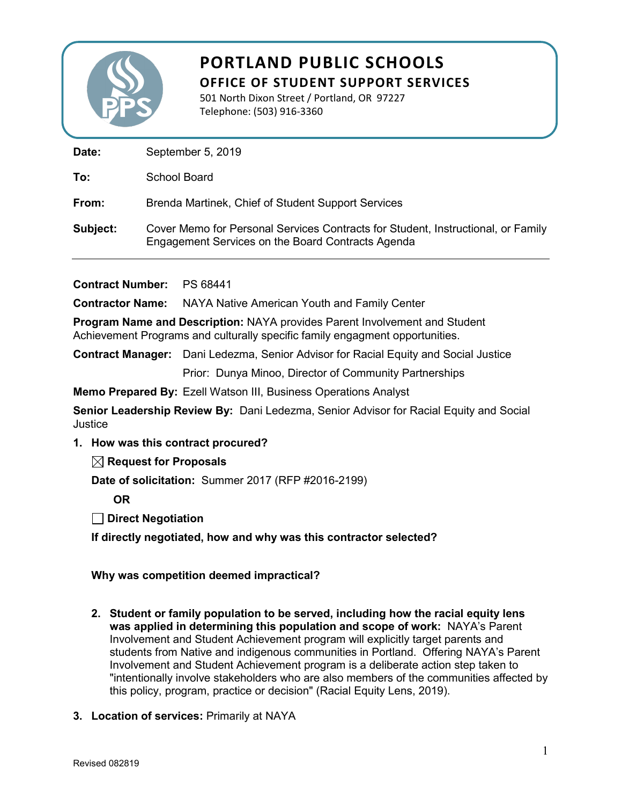

501 North Dixon Street / Portland, OR 97227 Telephone: (503) 916-3360

Date: September 5, 2019

**To:** School Board

**From:** Brenda Martinek, Chief of Student Support Services

**Subject:** Cover Memo for Personal Services Contracts for Student, Instructional, or Family Engagement Services on the Board Contracts Agenda

**Contract Number:** PS 68441

**Contractor Name:** NAYA Native American Youth and Family Center

**Program Name and Description:** NAYA provides Parent Involvement and Student Achievement Programs and culturally specific family engagment opportunities.

**Contract Manager:** Dani Ledezma, Senior Advisor for Racial Equity and Social Justice

Prior: Dunya Minoo, Director of Community Partnerships

**Memo Prepared By:** Ezell Watson III, Business Operations Analyst

**Senior Leadership Review By:** Dani Ledezma, Senior Advisor for Racial Equity and Social **Justice** 

**1. How was this contract procured?**

**Request for Proposals**

**Date of solicitation:** Summer 2017 (RFP #2016-2199)

**OR**

**Direct Negotiation**

**If directly negotiated, how and why was this contractor selected?** 

**Why was competition deemed impractical?**

- **2. Student or family population to be served, including how the racial equity lens was applied in determining this population and scope of work:** NAYA's Parent Involvement and Student Achievement program will explicitly target parents and students from Native and indigenous communities in Portland. Offering NAYA's Parent Involvement and Student Achievement program is a deliberate action step taken to "intentionally involve stakeholders who are also members of the communities affected by this policy, program, practice or decision" (Racial Equity Lens, 2019).
- **3. Location of services:** Primarily at NAYA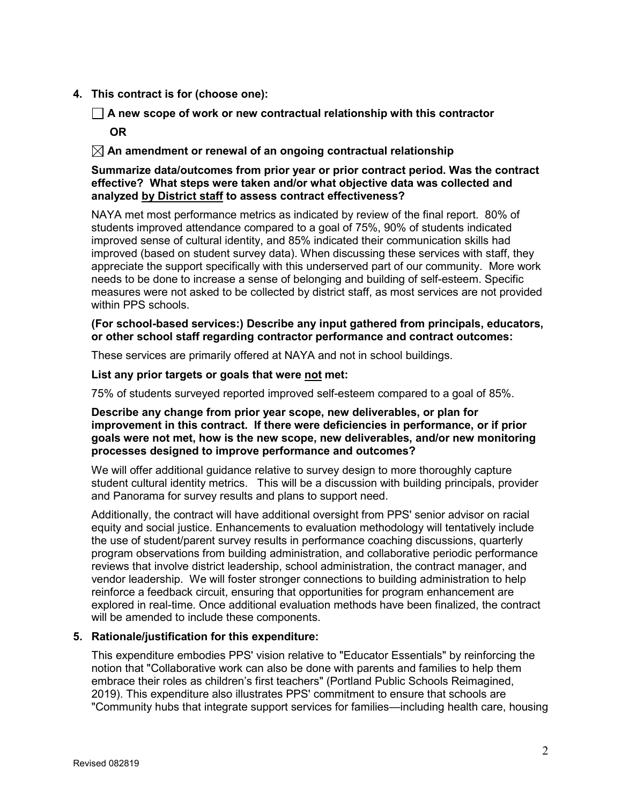**4. This contract is for (choose one):**

**A new scope of work or new contractual relationship with this contractor**

**OR**

**An amendment or renewal of an ongoing contractual relationship** 

### **Summarize data/outcomes from prior year or prior contract period. Was the contract effective? What steps were taken and/or what objective data was collected and analyzed by District staff to assess contract effectiveness?**

NAYA met most performance metrics as indicated by review of the final report. 80% of students improved attendance compared to a goal of 75%, 90% of students indicated improved sense of cultural identity, and 85% indicated their communication skills had improved (based on student survey data). When discussing these services with staff, they appreciate the support specifically with this underserved part of our community. More work needs to be done to increase a sense of belonging and building of self-esteem. Specific measures were not asked to be collected by district staff, as most services are not provided within PPS schools.

### **(For school-based services:) Describe any input gathered from principals, educators, or other school staff regarding contractor performance and contract outcomes:**

These services are primarily offered at NAYA and not in school buildings.

**List any prior targets or goals that were not met:**

75% of students surveyed reported improved self-esteem compared to a goal of 85%.

### **Describe any change from prior year scope, new deliverables, or plan for improvement in this contract. If there were deficiencies in performance, or if prior goals were not met, how is the new scope, new deliverables, and/or new monitoring processes designed to improve performance and outcomes?**

We will offer additional guidance relative to survey design to more thoroughly capture student cultural identity metrics. This will be a discussion with building principals, provider and Panorama for survey results and plans to support need.

Additionally, the contract will have additional oversight from PPS' senior advisor on racial equity and social justice. Enhancements to evaluation methodology will tentatively include the use of student/parent survey results in performance coaching discussions, quarterly program observations from building administration, and collaborative periodic performance reviews that involve district leadership, school administration, the contract manager, and vendor leadership. We will foster stronger connections to building administration to help reinforce a feedback circuit, ensuring that opportunities for program enhancement are explored in real-time. Once additional evaluation methods have been finalized, the contract will be amended to include these components.

### **5. Rationale/justification for this expenditure:**

This expenditure embodies PPS' vision relative to "Educator Essentials" by reinforcing the notion that "Collaborative work can also be done with parents and families to help them embrace their roles as children's first teachers" (Portland Public Schools Reimagined, 2019). This expenditure also illustrates PPS' commitment to ensure that schools are "Community hubs that integrate support services for families—including health care, housing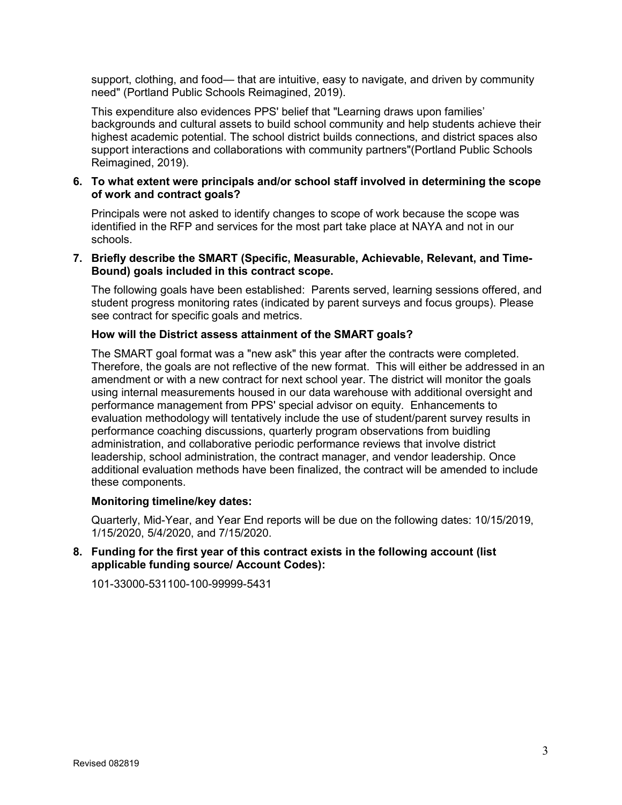support, clothing, and food— that are intuitive, easy to navigate, and driven by community need" (Portland Public Schools Reimagined, 2019).

This expenditure also evidences PPS' belief that "Learning draws upon families' backgrounds and cultural assets to build school community and help students achieve their highest academic potential. The school district builds connections, and district spaces also support interactions and collaborations with community partners"(Portland Public Schools Reimagined, 2019).

### **6. To what extent were principals and/or school staff involved in determining the scope of work and contract goals?**

Principals were not asked to identify changes to scope of work because the scope was identified in the RFP and services for the most part take place at NAYA and not in our schools.

### **7. Briefly describe the SMART (Specific, Measurable, Achievable, Relevant, and Time-Bound) goals included in this contract scope.**

The following goals have been established: Parents served, learning sessions offered, and student progress monitoring rates (indicated by parent surveys and focus groups). Please see contract for specific goals and metrics.

### **How will the District assess attainment of the SMART goals?**

The SMART goal format was a "new ask" this year after the contracts were completed. Therefore, the goals are not reflective of the new format. This will either be addressed in an amendment or with a new contract for next school year. The district will monitor the goals using internal measurements housed in our data warehouse with additional oversight and performance management from PPS' special advisor on equity. Enhancements to evaluation methodology will tentatively include the use of student/parent survey results in performance coaching discussions, quarterly program observations from buidling administration, and collaborative periodic performance reviews that involve district leadership, school administration, the contract manager, and vendor leadership. Once additional evaluation methods have been finalized, the contract will be amended to include these components.

### **Monitoring timeline/key dates:**

Quarterly, Mid-Year, and Year End reports will be due on the following dates: 10/15/2019, 1/15/2020, 5/4/2020, and 7/15/2020.

**8. Funding for the first year of this contract exists in the following account (list applicable funding source/ Account Codes):** 

101-33000-531100-100-99999-5431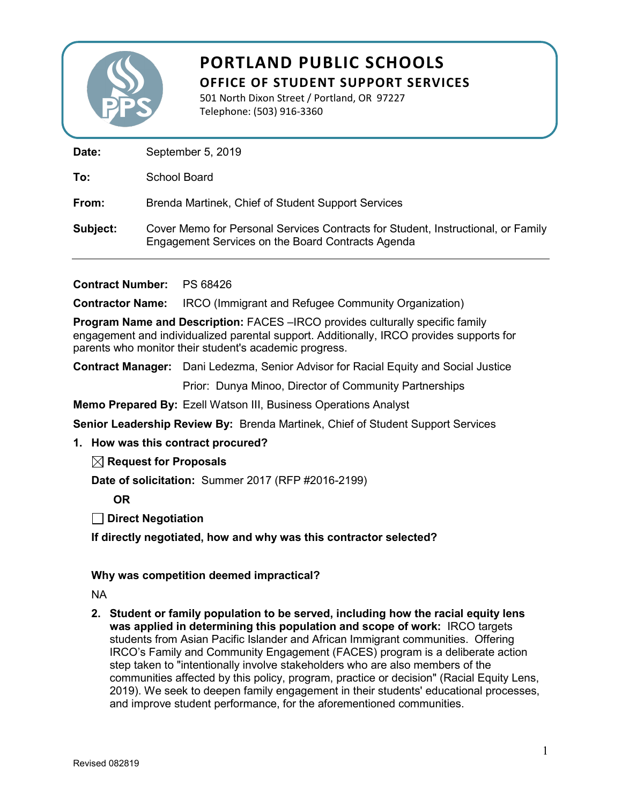

501 North Dixon Street / Portland, OR 97227 Telephone: (503) 916-3360

Date: September 5, 2019

**To:** School Board

**From:** Brenda Martinek, Chief of Student Support Services

**Subject:** Cover Memo for Personal Services Contracts for Student, Instructional, or Family Engagement Services on the Board Contracts Agenda

**Contract Number:** PS 68426

**Contractor Name:** IRCO (Immigrant and Refugee Community Organization)

**Program Name and Description:** FACES –IRCO provides culturally specific family engagement and individualized parental support. Additionally, IRCO provides supports for parents who monitor their student's academic progress.

**Contract Manager:** Dani Ledezma, Senior Advisor for Racial Equity and Social Justice

Prior: Dunya Minoo, Director of Community Partnerships

**Memo Prepared By:** Ezell Watson III, Business Operations Analyst

**Senior Leadership Review By:** Brenda Martinek, Chief of Student Support Services

### **1. How was this contract procured?**

**Request for Proposals**

**Date of solicitation:** Summer 2017 (RFP #2016-2199)

**OR**

**Direct Negotiation**

**If directly negotiated, how and why was this contractor selected?** 

### **Why was competition deemed impractical?**

NA

**2. Student or family population to be served, including how the racial equity lens was applied in determining this population and scope of work:** IRCO targets students from Asian Pacific Islander and African Immigrant communities. Offering IRCO's Family and Community Engagement (FACES) program is a deliberate action step taken to "intentionally involve stakeholders who are also members of the communities affected by this policy, program, practice or decision" (Racial Equity Lens, 2019). We seek to deepen family engagement in their students' educational processes, and improve student performance, for the aforementioned communities.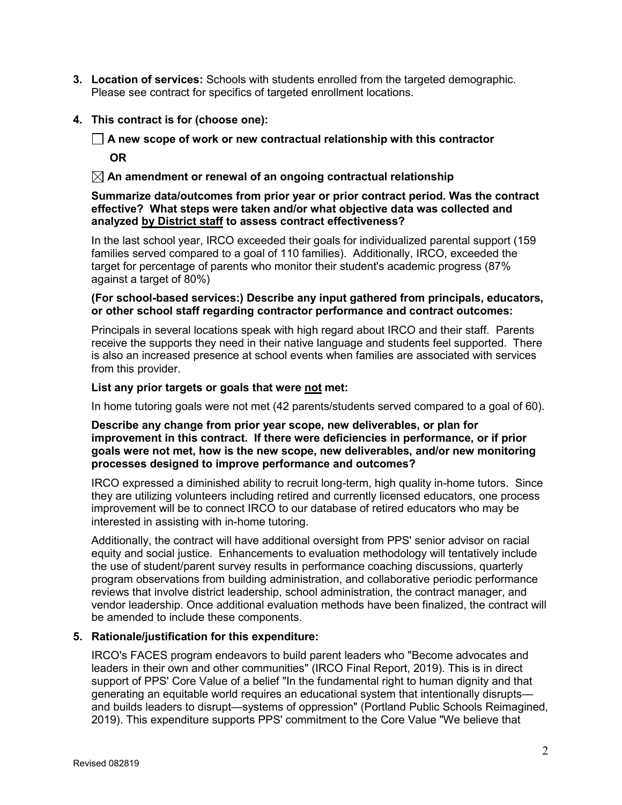- **3. Location of services:** Schools with students enrolled from the targeted demographic. Please see contract for specifics of targeted enrollment locations.
- **4. This contract is for (choose one):**

## **A new scope of work or new contractual relationship with this contractor OR**

### **An amendment or renewal of an ongoing contractual relationship**

### **Summarize data/outcomes from prior year or prior contract period. Was the contract effective? What steps were taken and/or what objective data was collected and analyzed by District staff to assess contract effectiveness?**

In the last school year, IRCO exceeded their goals for individualized parental support (159 families served compared to a goal of 110 families). Additionally, IRCO, exceeded the target for percentage of parents who monitor their student's academic progress (87% against a target of 80%)

### **(For school-based services:) Describe any input gathered from principals, educators, or other school staff regarding contractor performance and contract outcomes:**

Principals in several locations speak with high regard about IRCO and their staff. Parents receive the supports they need in their native language and students feel supported. There is also an increased presence at school events when families are associated with services from this provider.

### **List any prior targets or goals that were not met:**

In home tutoring goals were not met (42 parents/students served compared to a goal of 60).

### **Describe any change from prior year scope, new deliverables, or plan for improvement in this contract. If there were deficiencies in performance, or if prior goals were not met, how is the new scope, new deliverables, and/or new monitoring processes designed to improve performance and outcomes?**

IRCO expressed a diminished ability to recruit long-term, high quality in-home tutors. Since they are utilizing volunteers including retired and currently licensed educators, one process improvement will be to connect IRCO to our database of retired educators who may be interested in assisting with in-home tutoring.

Additionally, the contract will have additional oversight from PPS' senior advisor on racial equity and social justice. Enhancements to evaluation methodology will tentatively include the use of student/parent survey results in performance coaching discussions, quarterly program observations from building administration, and collaborative periodic performance reviews that involve district leadership, school administration, the contract manager, and vendor leadership. Once additional evaluation methods have been finalized, the contract will be amended to include these components.

### **5. Rationale/justification for this expenditure:**

IRCO's FACES program endeavors to build parent leaders who "Become advocates and leaders in their own and other communities" (IRCO Final Report, 2019). This is in direct support of PPS' Core Value of a belief "In the fundamental right to human dignity and that generating an equitable world requires an educational system that intentionally disrupts and builds leaders to disrupt—systems of oppression" (Portland Public Schools Reimagined, 2019). This expenditure supports PPS' commitment to the Core Value "We believe that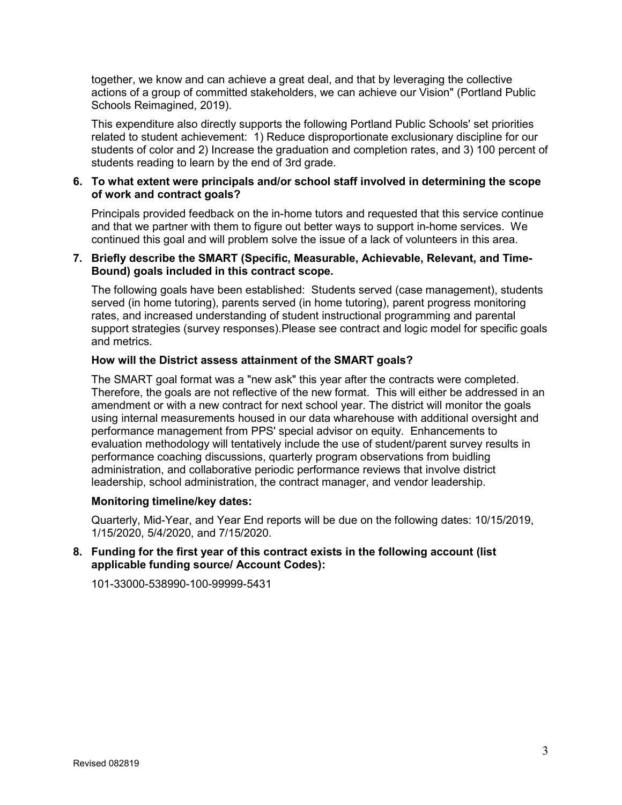together, we know and can achieve a great deal, and that by leveraging the collective actions of a group of committed stakeholders, we can achieve our Vision" (Portland Public Schools Reimagined, 2019).

This expenditure also directly supports the following Portland Public Schools' set priorities related to student achievement: 1) Reduce disproportionate exclusionary discipline for our students of color and 2) Increase the graduation and completion rates, and 3) 100 percent of students reading to learn by the end of 3rd grade.

### **6. To what extent were principals and/or school staff involved in determining the scope of work and contract goals?**

Principals provided feedback on the in-home tutors and requested that this service continue and that we partner with them to figure out better ways to support in-home services. We continued this goal and will problem solve the issue of a lack of volunteers in this area.

### **7. Briefly describe the SMART (Specific, Measurable, Achievable, Relevant, and Time-Bound) goals included in this contract scope.**

The following goals have been established: Students served (case management), students served (in home tutoring), parents served (in home tutoring), parent progress monitoring rates, and increased understanding of student instructional programming and parental support strategies (survey responses).Please see contract and logic model for specific goals and metrics.

### **How will the District assess attainment of the SMART goals?**

The SMART goal format was a "new ask" this year after the contracts were completed. Therefore, the goals are not reflective of the new format. This will either be addressed in an amendment or with a new contract for next school year. The district will monitor the goals using internal measurements housed in our data wharehouse with additional oversight and performance management from PPS' special advisor on equity. Enhancements to evaluation methodology will tentatively include the use of student/parent survey results in performance coaching discussions, quarterly program observations from buidling administration, and collaborative periodic performance reviews that involve district leadership, school administration, the contract manager, and vendor leadership.

### **Monitoring timeline/key dates:**

Quarterly, Mid-Year, and Year End reports will be due on the following dates: 10/15/2019, 1/15/2020, 5/4/2020, and 7/15/2020.

### **8. Funding for the first year of this contract exists in the following account (list applicable funding source/ Account Codes):**

101-33000-538990-100-99999-5431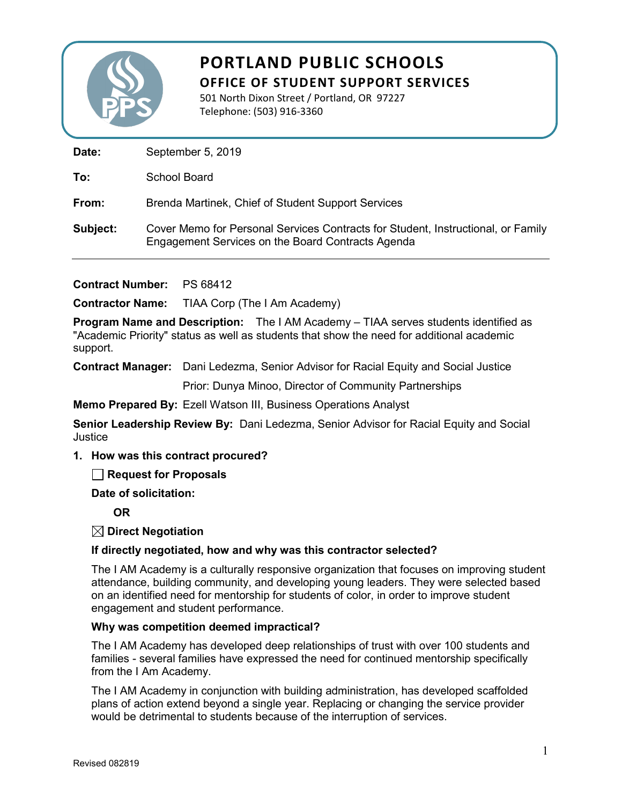

501 North Dixon Street / Portland, OR 97227 Telephone: (503) 916-3360

Date: September 5, 2019

**To:** School Board

**From:** Brenda Martinek, Chief of Student Support Services

**Subject:** Cover Memo for Personal Services Contracts for Student, Instructional, or Family Engagement Services on the Board Contracts Agenda

**Contract Number:** PS 68412

**Contractor Name:** TIAA Corp (The I Am Academy)

**Program Name and Description:** The I AM Academy – TIAA serves students identified as "Academic Priority" status as well as students that show the need for additional academic support.

**Contract Manager:** Dani Ledezma, Senior Advisor for Racial Equity and Social Justice

Prior: Dunya Minoo, Director of Community Partnerships

**Memo Prepared By:** Ezell Watson III, Business Operations Analyst

**Senior Leadership Review By:** Dani Ledezma, Senior Advisor for Racial Equity and Social **Justice** 

**1. How was this contract procured?**

**Request for Proposals** 

**Date of solicitation:**

**OR**

**Direct Negotiation**

### **If directly negotiated, how and why was this contractor selected?**

The I AM Academy is a culturally responsive organization that focuses on improving student attendance, building community, and developing young leaders. They were selected based on an identified need for mentorship for students of color, in order to improve student engagement and student performance.

### **Why was competition deemed impractical?**

The I AM Academy has developed deep relationships of trust with over 100 students and families - several families have expressed the need for continued mentorship specifically from the I Am Academy.

The I AM Academy in conjunction with building administration, has developed scaffolded plans of action extend beyond a single year. Replacing or changing the service provider would be detrimental to students because of the interruption of services.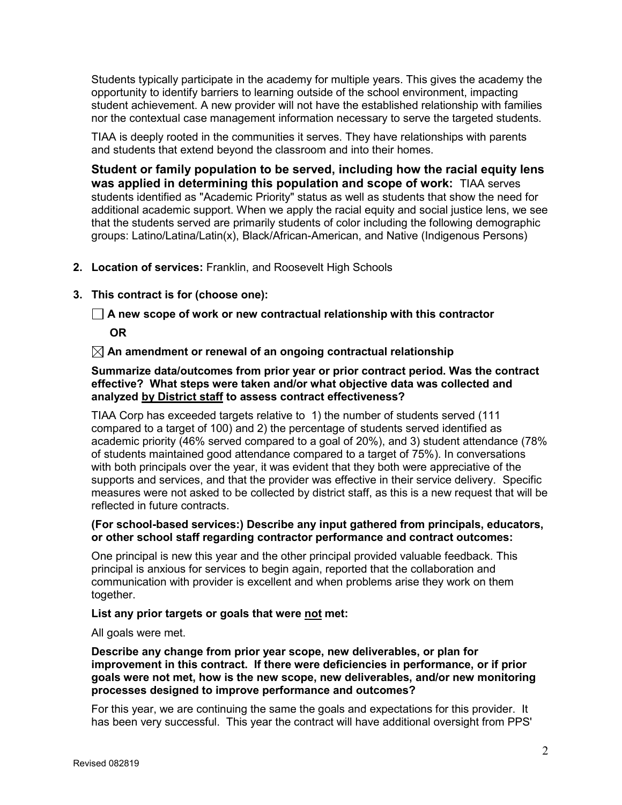Students typically participate in the academy for multiple years. This gives the academy the opportunity to identify barriers to learning outside of the school environment, impacting student achievement. A new provider will not have the established relationship with families nor the contextual case management information necessary to serve the targeted students.

TIAA is deeply rooted in the communities it serves. They have relationships with parents and students that extend beyond the classroom and into their homes.

**Student or family population to be served, including how the racial equity lens was applied in determining this population and scope of work:** TIAA serves students identified as "Academic Priority" status as well as students that show the need for additional academic support. When we apply the racial equity and social justice lens, we see that the students served are primarily students of color including the following demographic groups: Latino/Latina/Latin(x), Black/African-American, and Native (Indigenous Persons)

### **2. Location of services:** Franklin, and Roosevelt High Schools

### **3. This contract is for (choose one):**

**A new scope of work or new contractual relationship with this contractor**

**OR**

**An amendment or renewal of an ongoing contractual relationship** 

**Summarize data/outcomes from prior year or prior contract period. Was the contract effective? What steps were taken and/or what objective data was collected and analyzed by District staff to assess contract effectiveness?** 

TIAA Corp has exceeded targets relative to 1) the number of students served (111 compared to a target of 100) and 2) the percentage of students served identified as academic priority (46% served compared to a goal of 20%), and 3) student attendance (78% of students maintained good attendance compared to a target of 75%). In conversations with both principals over the year, it was evident that they both were appreciative of the supports and services, and that the provider was effective in their service delivery. Specific measures were not asked to be collected by district staff, as this is a new request that will be reflected in future contracts.

### **(For school-based services:) Describe any input gathered from principals, educators, or other school staff regarding contractor performance and contract outcomes:**

One principal is new this year and the other principal provided valuable feedback. This principal is anxious for services to begin again, reported that the collaboration and communication with provider is excellent and when problems arise they work on them together.

### **List any prior targets or goals that were not met:**

All goals were met.

**Describe any change from prior year scope, new deliverables, or plan for improvement in this contract. If there were deficiencies in performance, or if prior goals were not met, how is the new scope, new deliverables, and/or new monitoring processes designed to improve performance and outcomes?** 

For this year, we are continuing the same the goals and expectations for this provider. It has been very successful. This year the contract will have additional oversight from PPS'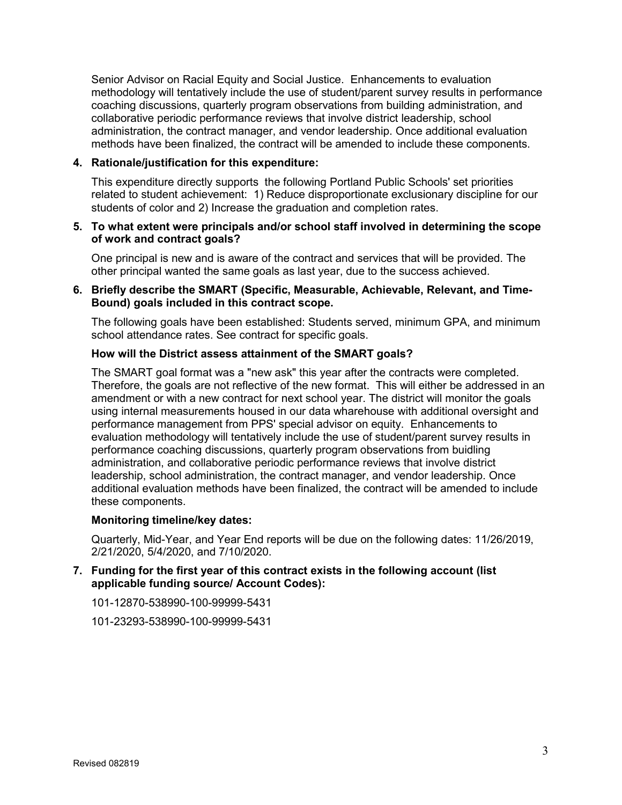Senior Advisor on Racial Equity and Social Justice. Enhancements to evaluation methodology will tentatively include the use of student/parent survey results in performance coaching discussions, quarterly program observations from building administration, and collaborative periodic performance reviews that involve district leadership, school administration, the contract manager, and vendor leadership. Once additional evaluation methods have been finalized, the contract will be amended to include these components.

### **4. Rationale/justification for this expenditure:**

This expenditure directly supports the following Portland Public Schools' set priorities related to student achievement: 1) Reduce disproportionate exclusionary discipline for our students of color and 2) Increase the graduation and completion rates.

### **5. To what extent were principals and/or school staff involved in determining the scope of work and contract goals?**

One principal is new and is aware of the contract and services that will be provided. The other principal wanted the same goals as last year, due to the success achieved.

### **6. Briefly describe the SMART (Specific, Measurable, Achievable, Relevant, and Time-Bound) goals included in this contract scope.**

The following goals have been established: Students served, minimum GPA, and minimum school attendance rates. See contract for specific goals.

### **How will the District assess attainment of the SMART goals?**

The SMART goal format was a "new ask" this year after the contracts were completed. Therefore, the goals are not reflective of the new format. This will either be addressed in an amendment or with a new contract for next school year. The district will monitor the goals using internal measurements housed in our data wharehouse with additional oversight and performance management from PPS' special advisor on equity. Enhancements to evaluation methodology will tentatively include the use of student/parent survey results in performance coaching discussions, quarterly program observations from buidling administration, and collaborative periodic performance reviews that involve district leadership, school administration, the contract manager, and vendor leadership. Once additional evaluation methods have been finalized, the contract will be amended to include these components.

#### **Monitoring timeline/key dates:**

Quarterly, Mid-Year, and Year End reports will be due on the following dates: 11/26/2019, 2/21/2020, 5/4/2020, and 7/10/2020.

### **7. Funding for the first year of this contract exists in the following account (list applicable funding source/ Account Codes):**

101-12870-538990-100-99999-5431

101-23293-538990-100-99999-5431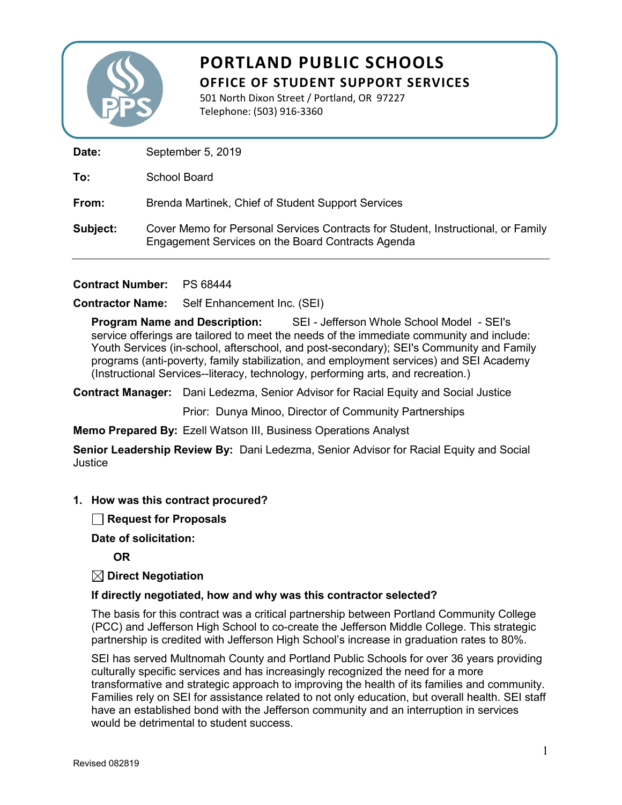

# **SEIN SCHOOL SCHOOL SEINE SUPPORT SERVICES PORTLAND PUBLIC SCHOOLS**

501 North Dixon Street / Portland, OR 97227 Telephone: (503) 916-3360

Date: September 5, 2019

**To:** School Board

**From:** Brenda Martinek, Chief of Student Support Services

**Subject:** Cover Memo for Personal Services Contracts for Student, Instructional, or Family Engagement Services on the Board Contracts Agenda

**Contract Number:** PS 68444

**Contractor Name:** Self Enhancement Inc. (SEI)

**Program Name and Description:** SEI - Jefferson Whole School Model - SEI's service offerings are tailored to meet the needs of the immediate community and include: Youth Services (in-school, afterschool, and post-secondary); SEI's Community and Family programs (anti-poverty, family stabilization, and employment services) and SEI Academy (Instructional Services--literacy, technology, performing arts, and recreation.)

**Contract Manager:** Dani Ledezma, Senior Advisor for Racial Equity and Social Justice

Prior: Dunya Minoo, Director of Community Partnerships

**Memo Prepared By:** Ezell Watson III, Business Operations Analyst

**Senior Leadership Review By:** Dani Ledezma, Senior Advisor for Racial Equity and Social **Justice** 

**1. How was this contract procured?**

**Request for Proposals**

**Date of solicitation:**

**OR**

**Direct Negotiation**

### **If directly negotiated, how and why was this contractor selected?**

The basis for this contract was a critical partnership between Portland Community College (PCC) and Jefferson High School to co-create the Jefferson Middle College. This strategic partnership is credited with Jefferson High School's increase in graduation rates to 80%.

SEI has served Multnomah County and Portland Public Schools for over 36 years providing culturally specific services and has increasingly recognized the need for a more transformative and strategic approach to improving the health of its families and community. Families rely on SEI for assistance related to not only education, but overall health. SEI staff have an established bond with the Jefferson community and an interruption in services would be detrimental to student success.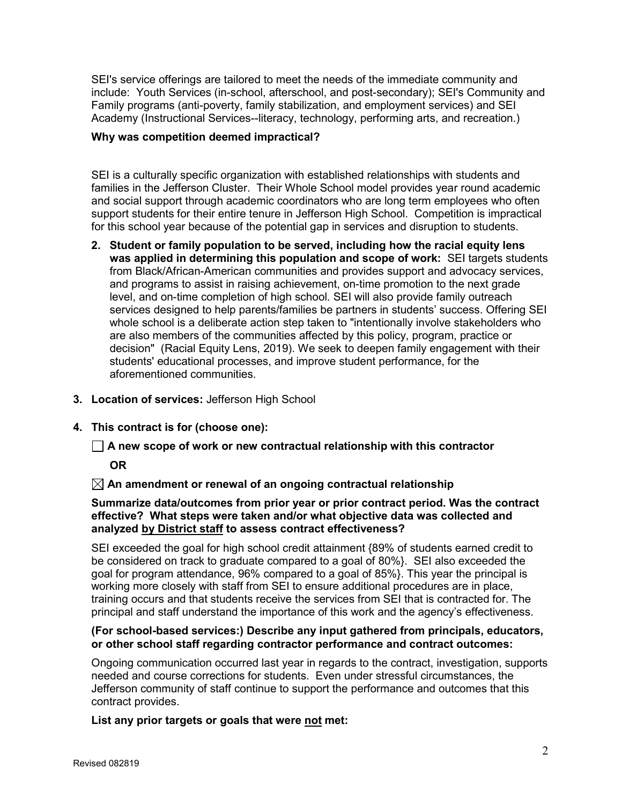SEI's service offerings are tailored to meet the needs of the immediate community and include: Youth Services (in-school, afterschool, and post-secondary); SEI's Community and Family programs (anti-poverty, family stabilization, and employment services) and SEI Academy (Instructional Services--literacy, technology, performing arts, and recreation.)

### **Why was competition deemed impractical?**

SEI is a culturally specific organization with established relationships with students and families in the Jefferson Cluster. Their Whole School model provides year round academic and social support through academic coordinators who are long term employees who often support students for their entire tenure in Jefferson High School. Competition is impractical for this school year because of the potential gap in services and disruption to students.

- **2. Student or family population to be served, including how the racial equity lens was applied in determining this population and scope of work:** SEI targets students from Black/African-American communities and provides support and advocacy services, and programs to assist in raising achievement, on-time promotion to the next grade level, and on-time completion of high school. SEI will also provide family outreach services designed to help parents/families be partners in students' success. Offering SEI whole school is a deliberate action step taken to "intentionally involve stakeholders who are also members of the communities affected by this policy, program, practice or decision" (Racial Equity Lens, 2019). We seek to deepen family engagement with their students' educational processes, and improve student performance, for the aforementioned communities.
- **3. Location of services:** Jefferson High School
- **4. This contract is for (choose one):**

**A new scope of work or new contractual relationship with this contractor**

**OR**

**An amendment or renewal of an ongoing contractual relationship** 

### **Summarize data/outcomes from prior year or prior contract period. Was the contract effective? What steps were taken and/or what objective data was collected and analyzed by District staff to assess contract effectiveness?**

SEI exceeded the goal for high school credit attainment {89% of students earned credit to be considered on track to graduate compared to a goal of 80%}. SEI also exceeded the goal for program attendance, 96% compared to a goal of 85%}. This year the principal is working more closely with staff from SEI to ensure additional procedures are in place, training occurs and that students receive the services from SEI that is contracted for. The principal and staff understand the importance of this work and the agency's effectiveness.

### **(For school-based services:) Describe any input gathered from principals, educators, or other school staff regarding contractor performance and contract outcomes:**

Ongoing communication occurred last year in regards to the contract, investigation, supports needed and course corrections for students. Even under stressful circumstances, the Jefferson community of staff continue to support the performance and outcomes that this contract provides.

### **List any prior targets or goals that were not met:**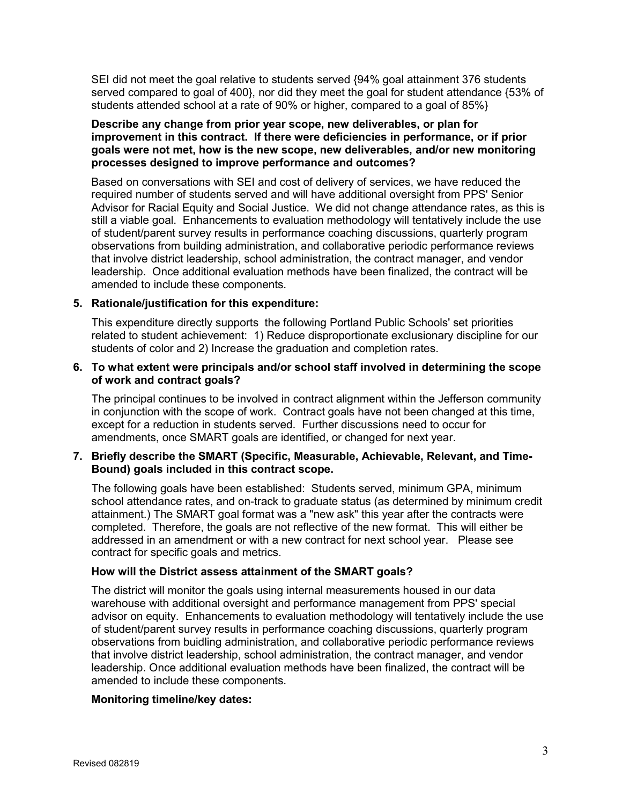SEI did not meet the goal relative to students served {94% goal attainment 376 students served compared to goal of 400}, nor did they meet the goal for student attendance {53% of students attended school at a rate of 90% or higher, compared to a goal of 85%}

### **Describe any change from prior year scope, new deliverables, or plan for improvement in this contract. If there were deficiencies in performance, or if prior goals were not met, how is the new scope, new deliverables, and/or new monitoring processes designed to improve performance and outcomes?**

Based on conversations with SEI and cost of delivery of services, we have reduced the required number of students served and will have additional oversight from PPS' Senior Advisor for Racial Equity and Social Justice. We did not change attendance rates, as this is still a viable goal. Enhancements to evaluation methodology will tentatively include the use of student/parent survey results in performance coaching discussions, quarterly program observations from building administration, and collaborative periodic performance reviews that involve district leadership, school administration, the contract manager, and vendor leadership. Once additional evaluation methods have been finalized, the contract will be amended to include these components.

### **5. Rationale/justification for this expenditure:**

This expenditure directly supports the following Portland Public Schools' set priorities related to student achievement: 1) Reduce disproportionate exclusionary discipline for our students of color and 2) Increase the graduation and completion rates.

### **6. To what extent were principals and/or school staff involved in determining the scope of work and contract goals?**

The principal continues to be involved in contract alignment within the Jefferson community in conjunction with the scope of work. Contract goals have not been changed at this time, except for a reduction in students served. Further discussions need to occur for amendments, once SMART goals are identified, or changed for next year.

### **7. Briefly describe the SMART (Specific, Measurable, Achievable, Relevant, and Time-Bound) goals included in this contract scope.**

The following goals have been established: Students served, minimum GPA, minimum school attendance rates, and on-track to graduate status (as determined by minimum credit attainment.) The SMART goal format was a "new ask" this year after the contracts were completed. Therefore, the goals are not reflective of the new format. This will either be addressed in an amendment or with a new contract for next school year. Please see contract for specific goals and metrics.

### **How will the District assess attainment of the SMART goals?**

The district will monitor the goals using internal measurements housed in our data warehouse with additional oversight and performance management from PPS' special advisor on equity. Enhancements to evaluation methodology will tentatively include the use of student/parent survey results in performance coaching discussions, quarterly program observations from buidling administration, and collaborative periodic performance reviews that involve district leadership, school administration, the contract manager, and vendor leadership. Once additional evaluation methods have been finalized, the contract will be amended to include these components.

### **Monitoring timeline/key dates:**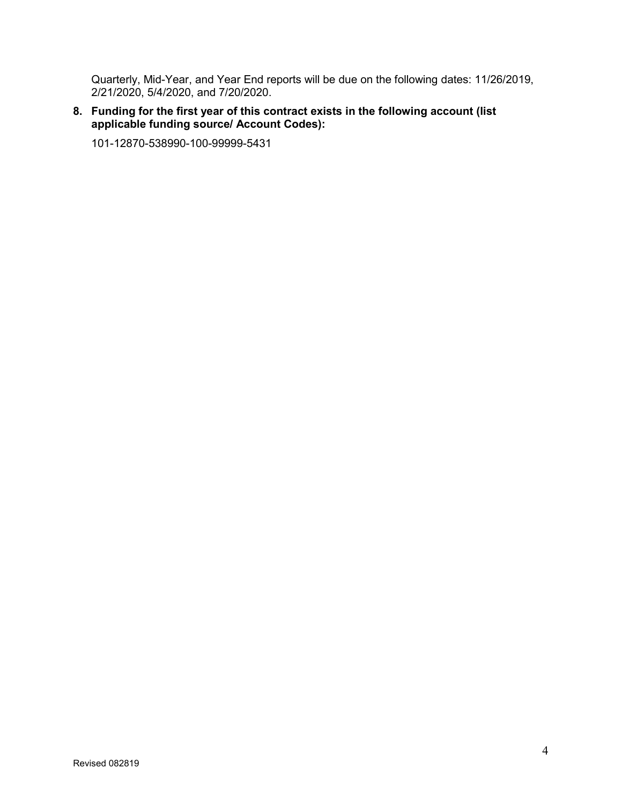Quarterly, Mid-Year, and Year End reports will be due on the following dates: 11/26/2019, 2/21/2020, 5/4/2020, and 7/20/2020.

### **8. Funding for the first year of this contract exists in the following account (list applicable funding source/ Account Codes):**

101-12870-538990-100-99999-5431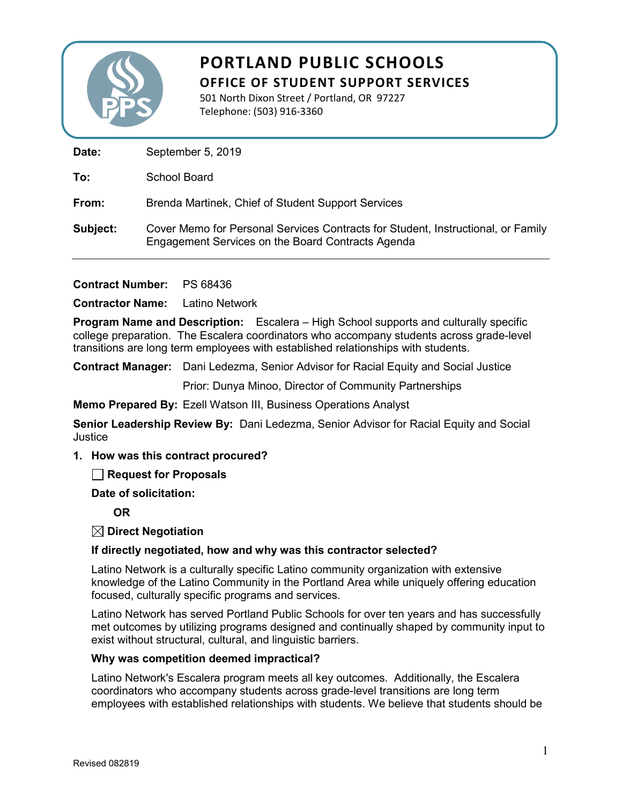

501 North Dixon Street / Portland, OR 97227 Telephone: (503) 916-3360

Date: September 5, 2019

**To:** School Board

**From:** Brenda Martinek, Chief of Student Support Services

**Subject:** Cover Memo for Personal Services Contracts for Student, Instructional, or Family Engagement Services on the Board Contracts Agenda

**Contract Number:** PS 68436

**Contractor Name:** Latino Network

**Program Name and Description:** Escalera – High School supports and culturally specific college preparation. The Escalera coordinators who accompany students across grade-level transitions are long term employees with established relationships with students.

**Contract Manager:** Dani Ledezma, Senior Advisor for Racial Equity and Social Justice

Prior: Dunya Minoo, Director of Community Partnerships

**Memo Prepared By:** Ezell Watson III, Business Operations Analyst

**Senior Leadership Review By:** Dani Ledezma, Senior Advisor for Racial Equity and Social **Justice** 

**1. How was this contract procured?**

**Request for Proposals** 

**Date of solicitation:**

**OR**

**Direct Negotiation**

### **If directly negotiated, how and why was this contractor selected?**

Latino Network is a culturally specific Latino community organization with extensive knowledge of the Latino Community in the Portland Area while uniquely offering education focused, culturally specific programs and services.

Latino Network has served Portland Public Schools for over ten years and has successfully met outcomes by utilizing programs designed and continually shaped by community input to exist without structural, cultural, and linguistic barriers.

### **Why was competition deemed impractical?**

Latino Network's Escalera program meets all key outcomes. Additionally, the Escalera coordinators who accompany students across grade-level transitions are long term employees with established relationships with students. We believe that students should be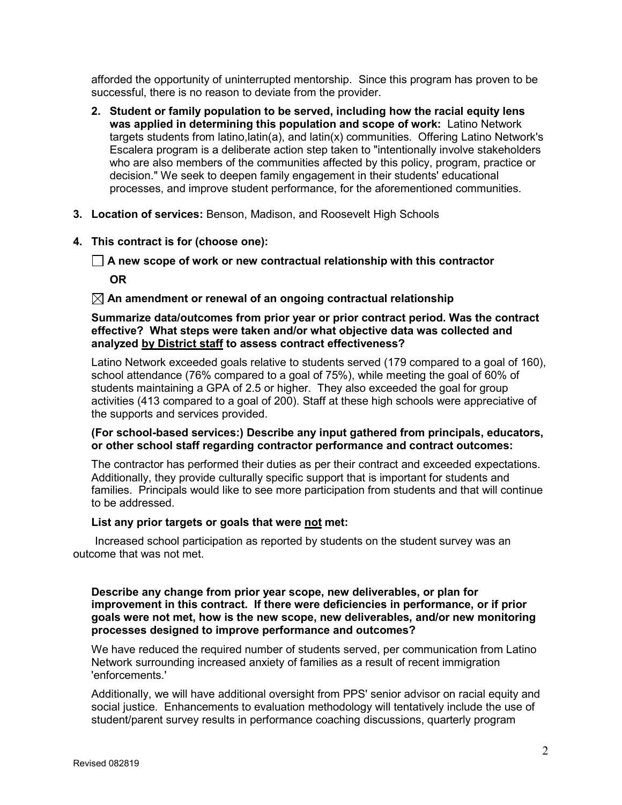afforded the opportunity of uninterrupted mentorship. Since this program has proven to be successful, there is no reason to deviate from the provider.

- **2. Student or family population to be served, including how the racial equity lens was applied in determining this population and scope of work:** Latino Network targets students from latino,latin(a), and latin(x) communities. Offering Latino Network's Escalera program is a deliberate action step taken to "intentionally involve stakeholders who are also members of the communities affected by this policy, program, practice or decision." We seek to deepen family engagement in their students' educational processes, and improve student performance, for the aforementioned communities.
- **3. Location of services:** Benson, Madison, and Roosevelt High Schools
- **4. This contract is for (choose one):**
	- **A new scope of work or new contractual relationship with this contractor OR**

### **An amendment or renewal of an ongoing contractual relationship**

### **Summarize data/outcomes from prior year or prior contract period. Was the contract effective? What steps were taken and/or what objective data was collected and analyzed by District staff to assess contract effectiveness?**

Latino Network exceeded goals relative to students served (179 compared to a goal of 160), school attendance (76% compared to a goal of 75%), while meeting the goal of 60% of students maintaining a GPA of 2.5 or higher. They also exceeded the goal for group activities (413 compared to a goal of 200). Staff at these high schools were appreciative of the supports and services provided.

### **(For school-based services:) Describe any input gathered from principals, educators, or other school staff regarding contractor performance and contract outcomes:**

The contractor has performed their duties as per their contract and exceeded expectations. Additionally, they provide culturally specific support that is important for students and families. Principals would like to see more participation from students and that will continue to be addressed.

### **List any prior targets or goals that were not met:**

 Increased school participation as reported by students on the student survey was an outcome that was not met.

### **Describe any change from prior year scope, new deliverables, or plan for improvement in this contract. If there were deficiencies in performance, or if prior goals were not met, how is the new scope, new deliverables, and/or new monitoring processes designed to improve performance and outcomes?**

We have reduced the required number of students served, per communication from Latino Network surrounding increased anxiety of families as a result of recent immigration 'enforcements.'

Additionally, we will have additional oversight from PPS' senior advisor on racial equity and social justice. Enhancements to evaluation methodology will tentatively include the use of student/parent survey results in performance coaching discussions, quarterly program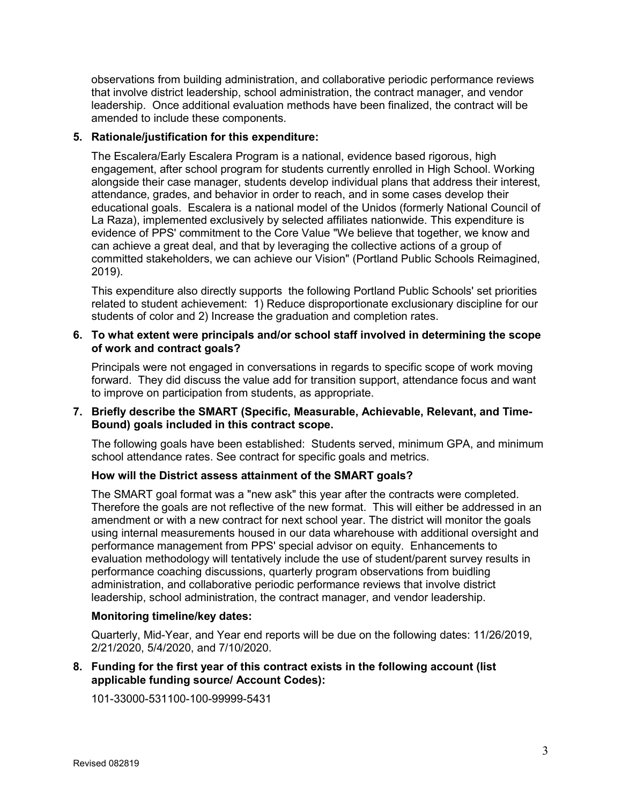observations from building administration, and collaborative periodic performance reviews that involve district leadership, school administration, the contract manager, and vendor leadership. Once additional evaluation methods have been finalized, the contract will be amended to include these components.

### **5. Rationale/justification for this expenditure:**

The Escalera/Early Escalera Program is a national, evidence based rigorous, high engagement, after school program for students currently enrolled in High School. Working alongside their case manager, students develop individual plans that address their interest, attendance, grades, and behavior in order to reach, and in some cases develop their educational goals. Escalera is a national model of the Unidos (formerly National Council of La Raza), implemented exclusively by selected affiliates nationwide. This expenditure is evidence of PPS' commitment to the Core Value "We believe that together, we know and can achieve a great deal, and that by leveraging the collective actions of a group of committed stakeholders, we can achieve our Vision" (Portland Public Schools Reimagined, 2019).

This expenditure also directly supports the following Portland Public Schools' set priorities related to student achievement: 1) Reduce disproportionate exclusionary discipline for our students of color and 2) Increase the graduation and completion rates.

### **6. To what extent were principals and/or school staff involved in determining the scope of work and contract goals?**

Principals were not engaged in conversations in regards to specific scope of work moving forward. They did discuss the value add for transition support, attendance focus and want to improve on participation from students, as appropriate.

### **7. Briefly describe the SMART (Specific, Measurable, Achievable, Relevant, and Time-Bound) goals included in this contract scope.**

The following goals have been established: Students served, minimum GPA, and minimum school attendance rates. See contract for specific goals and metrics.

### **How will the District assess attainment of the SMART goals?**

The SMART goal format was a "new ask" this year after the contracts were completed. Therefore the goals are not reflective of the new format. This will either be addressed in an amendment or with a new contract for next school year. The district will monitor the goals using internal measurements housed in our data wharehouse with additional oversight and performance management from PPS' special advisor on equity. Enhancements to evaluation methodology will tentatively include the use of student/parent survey results in performance coaching discussions, quarterly program observations from buidling administration, and collaborative periodic performance reviews that involve district leadership, school administration, the contract manager, and vendor leadership.

### **Monitoring timeline/key dates:**

Quarterly, Mid-Year, and Year end reports will be due on the following dates: 11/26/2019, 2/21/2020, 5/4/2020, and 7/10/2020.

### **8. Funding for the first year of this contract exists in the following account (list applicable funding source/ Account Codes):**

101-33000-531100-100-99999-5431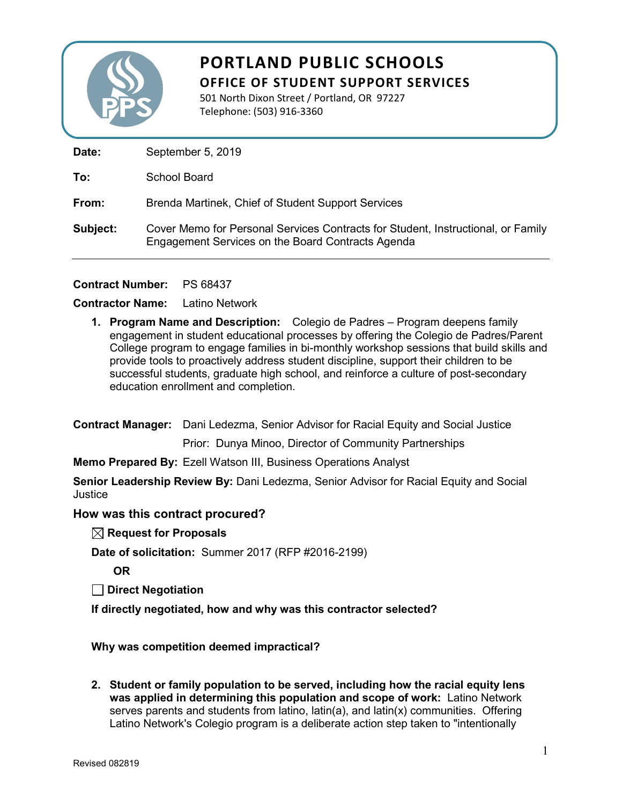

501 North Dixon Street / Portland, OR 97227 Telephone: (503) 916-3360

Date: September 5, 2019

**To:** School Board

**From:** Brenda Martinek, Chief of Student Support Services

**Subject:** Cover Memo for Personal Services Contracts for Student, Instructional, or Family Engagement Services on the Board Contracts Agenda

**Contract Number:** PS 68437

### **Contractor Name:** Latino Network

**1. Program Name and Description:** Colegio de Padres – Program deepens family engagement in student educational processes by offering the Colegio de Padres/Parent College program to engage families in bi-monthly workshop sessions that build skills and provide tools to proactively address student discipline, support their children to be successful students, graduate high school, and reinforce a culture of post-secondary education enrollment and completion.

**Contract Manager:** Dani Ledezma, Senior Advisor for Racial Equity and Social Justice

Prior: Dunya Minoo, Director of Community Partnerships

**Memo Prepared By:** Ezell Watson III, Business Operations Analyst

**Senior Leadership Review By:** Dani Ledezma, Senior Advisor for Racial Equity and Social Justice

### **How was this contract procured?**

**Request for Proposals**

**Date of solicitation:** Summer 2017 (RFP #2016-2199)

**OR**

**Direct Negotiation**

**If directly negotiated, how and why was this contractor selected?** 

### **Why was competition deemed impractical?**

**2. Student or family population to be served, including how the racial equity lens was applied in determining this population and scope of work:** Latino Network serves parents and students from latino, latin(a), and latin(x) communities. Offering Latino Network's Colegio program is a deliberate action step taken to "intentionally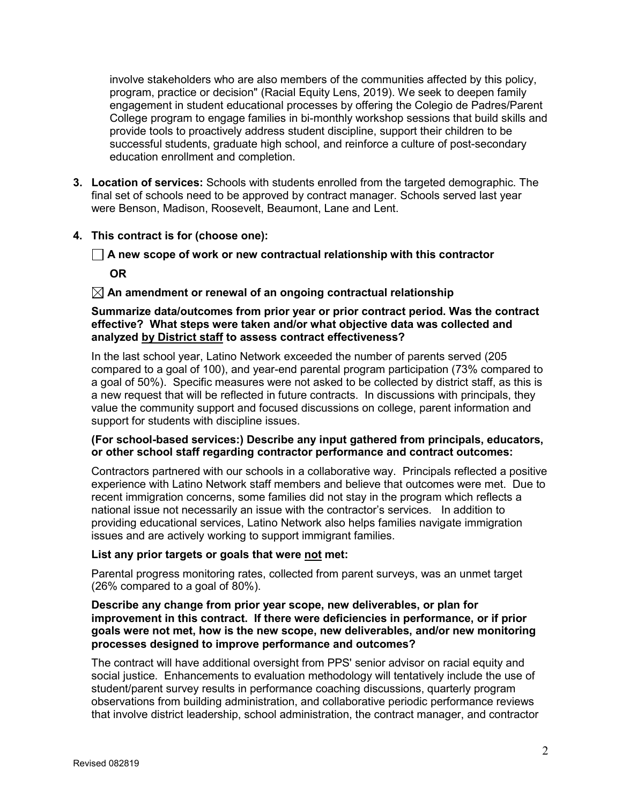involve stakeholders who are also members of the communities affected by this policy, program, practice or decision" (Racial Equity Lens, 2019). We seek to deepen family engagement in student educational processes by offering the Colegio de Padres/Parent College program to engage families in bi-monthly workshop sessions that build skills and provide tools to proactively address student discipline, support their children to be successful students, graduate high school, and reinforce a culture of post-secondary education enrollment and completion.

**3. Location of services:** Schools with students enrolled from the targeted demographic. The final set of schools need to be approved by contract manager. Schools served last year were Benson, Madison, Roosevelt, Beaumont, Lane and Lent.

### **4. This contract is for (choose one):**

**A new scope of work or new contractual relationship with this contractor**

**OR**

### **An amendment or renewal of an ongoing contractual relationship**

### **Summarize data/outcomes from prior year or prior contract period. Was the contract effective? What steps were taken and/or what objective data was collected and analyzed by District staff to assess contract effectiveness?**

In the last school year, Latino Network exceeded the number of parents served (205 compared to a goal of 100), and year-end parental program participation (73% compared to a goal of 50%). Specific measures were not asked to be collected by district staff, as this is a new request that will be reflected in future contracts. In discussions with principals, they value the community support and focused discussions on college, parent information and support for students with discipline issues.

### **(For school-based services:) Describe any input gathered from principals, educators, or other school staff regarding contractor performance and contract outcomes:**

Contractors partnered with our schools in a collaborative way. Principals reflected a positive experience with Latino Network staff members and believe that outcomes were met. Due to recent immigration concerns, some families did not stay in the program which reflects a national issue not necessarily an issue with the contractor's services. In addition to providing educational services, Latino Network also helps families navigate immigration issues and are actively working to support immigrant families.

### **List any prior targets or goals that were not met:**

Parental progress monitoring rates, collected from parent surveys, was an unmet target (26% compared to a goal of 80%).

### **Describe any change from prior year scope, new deliverables, or plan for improvement in this contract. If there were deficiencies in performance, or if prior goals were not met, how is the new scope, new deliverables, and/or new monitoring processes designed to improve performance and outcomes?**

The contract will have additional oversight from PPS' senior advisor on racial equity and social justice. Enhancements to evaluation methodology will tentatively include the use of student/parent survey results in performance coaching discussions, quarterly program observations from building administration, and collaborative periodic performance reviews that involve district leadership, school administration, the contract manager, and contractor